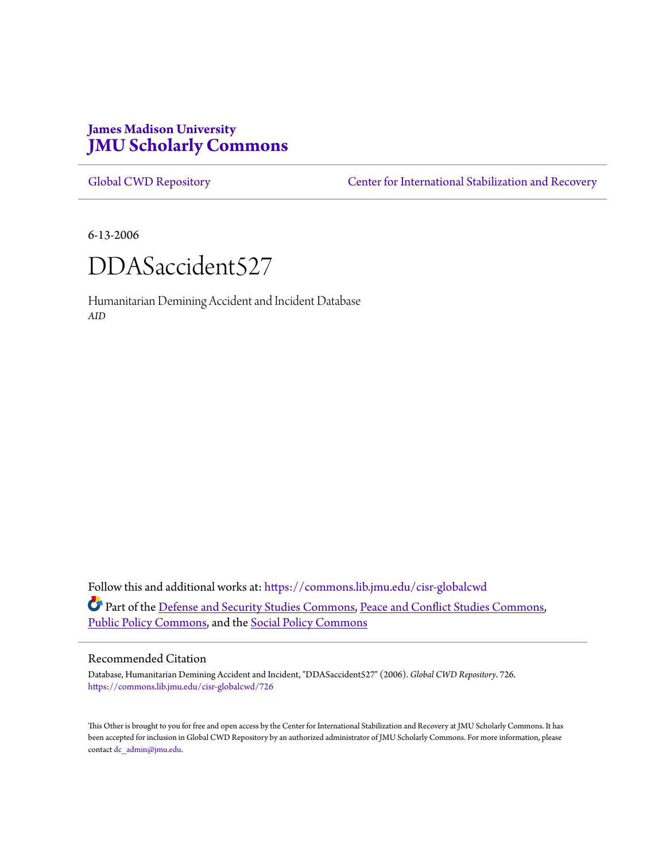# **James Madison University [JMU Scholarly Commons](https://commons.lib.jmu.edu?utm_source=commons.lib.jmu.edu%2Fcisr-globalcwd%2F726&utm_medium=PDF&utm_campaign=PDFCoverPages)**

[Global CWD Repository](https://commons.lib.jmu.edu/cisr-globalcwd?utm_source=commons.lib.jmu.edu%2Fcisr-globalcwd%2F726&utm_medium=PDF&utm_campaign=PDFCoverPages) **[Center for International Stabilization and Recovery](https://commons.lib.jmu.edu/cisr?utm_source=commons.lib.jmu.edu%2Fcisr-globalcwd%2F726&utm_medium=PDF&utm_campaign=PDFCoverPages)** 

6-13-2006



Humanitarian Demining Accident and Incident Database *AID*

Follow this and additional works at: [https://commons.lib.jmu.edu/cisr-globalcwd](https://commons.lib.jmu.edu/cisr-globalcwd?utm_source=commons.lib.jmu.edu%2Fcisr-globalcwd%2F726&utm_medium=PDF&utm_campaign=PDFCoverPages) Part of the [Defense and Security Studies Commons](http://network.bepress.com/hgg/discipline/394?utm_source=commons.lib.jmu.edu%2Fcisr-globalcwd%2F726&utm_medium=PDF&utm_campaign=PDFCoverPages), [Peace and Conflict Studies Commons](http://network.bepress.com/hgg/discipline/397?utm_source=commons.lib.jmu.edu%2Fcisr-globalcwd%2F726&utm_medium=PDF&utm_campaign=PDFCoverPages), [Public Policy Commons,](http://network.bepress.com/hgg/discipline/400?utm_source=commons.lib.jmu.edu%2Fcisr-globalcwd%2F726&utm_medium=PDF&utm_campaign=PDFCoverPages) and the [Social Policy Commons](http://network.bepress.com/hgg/discipline/1030?utm_source=commons.lib.jmu.edu%2Fcisr-globalcwd%2F726&utm_medium=PDF&utm_campaign=PDFCoverPages)

#### Recommended Citation

Database, Humanitarian Demining Accident and Incident, "DDASaccident527" (2006). *Global CWD Repository*. 726. [https://commons.lib.jmu.edu/cisr-globalcwd/726](https://commons.lib.jmu.edu/cisr-globalcwd/726?utm_source=commons.lib.jmu.edu%2Fcisr-globalcwd%2F726&utm_medium=PDF&utm_campaign=PDFCoverPages)

This Other is brought to you for free and open access by the Center for International Stabilization and Recovery at JMU Scholarly Commons. It has been accepted for inclusion in Global CWD Repository by an authorized administrator of JMU Scholarly Commons. For more information, please contact [dc\\_admin@jmu.edu.](mailto:dc_admin@jmu.edu)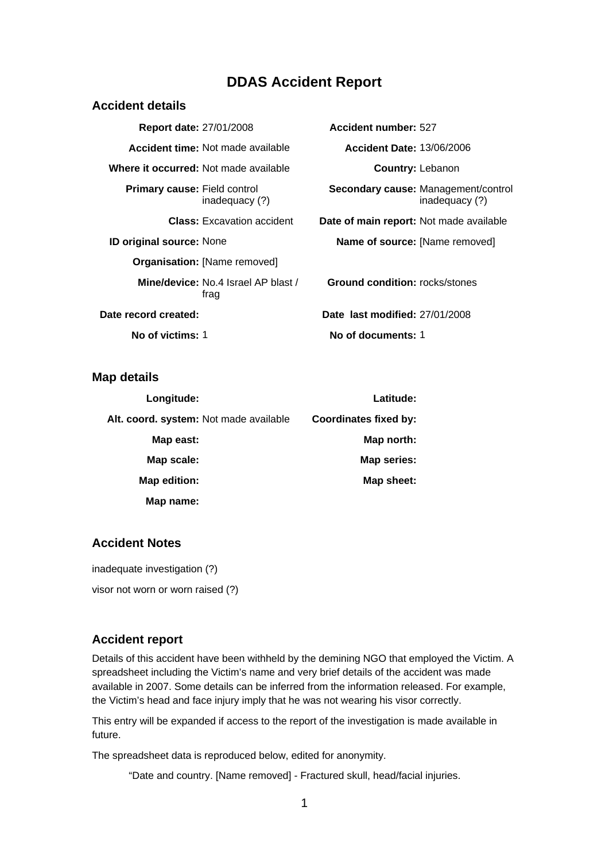## **DDAS Accident Report**

| Accident details                      |                                                    |                                                |                                                       |
|---------------------------------------|----------------------------------------------------|------------------------------------------------|-------------------------------------------------------|
| <b>Report date: 27/01/2008</b>        |                                                    | Accident number: 527                           |                                                       |
|                                       | <b>Accident time:</b> Not made available           | <b>Accident Date: 13/06/2006</b>               |                                                       |
| Where it occurred: Not made available |                                                    | <b>Country: Lebanon</b>                        |                                                       |
| <b>Primary cause:</b> Field control   | inadequacy (?)                                     |                                                | Secondary cause: Management/control<br>inadequacy (?) |
|                                       | <b>Class:</b> Excavation accident                  | <b>Date of main report:</b> Not made available |                                                       |
| <b>ID original source: None</b>       |                                                    | <b>Name of source:</b> [Name removed]          |                                                       |
|                                       | Organisation: [Name removed]                       |                                                |                                                       |
|                                       | <b>Mine/device:</b> No.4 Israel AP blast /<br>trag | <b>Ground condition:</b> rocks/stones          |                                                       |
| Date record created:                  |                                                    | Date last modified: 27/01/2008                 |                                                       |
| No of victims: 1                      |                                                    | No of documents: 1                             |                                                       |

**Map details** 

| Latitude:                    | Longitude:                             |
|------------------------------|----------------------------------------|
| <b>Coordinates fixed by:</b> | Alt. coord. system: Not made available |
| Map north:                   | Map east:                              |
| Map series:                  | Map scale:                             |
| Map sheet:                   | Map edition:                           |
|                              | Map name:                              |

## **Accident Notes**

inadequate investigation (?)

visor not worn or worn raised (?)

#### **Accident report**

Details of this accident have been withheld by the demining NGO that employed the Victim. A spreadsheet including the Victim's name and very brief details of the accident was made available in 2007. Some details can be inferred from the information released. For example, the Victim's head and face injury imply that he was not wearing his visor correctly.

This entry will be expanded if access to the report of the investigation is made available in future.

The spreadsheet data is reproduced below, edited for anonymity.

"Date and country. [Name removed] - Fractured skull, head/facial injuries.